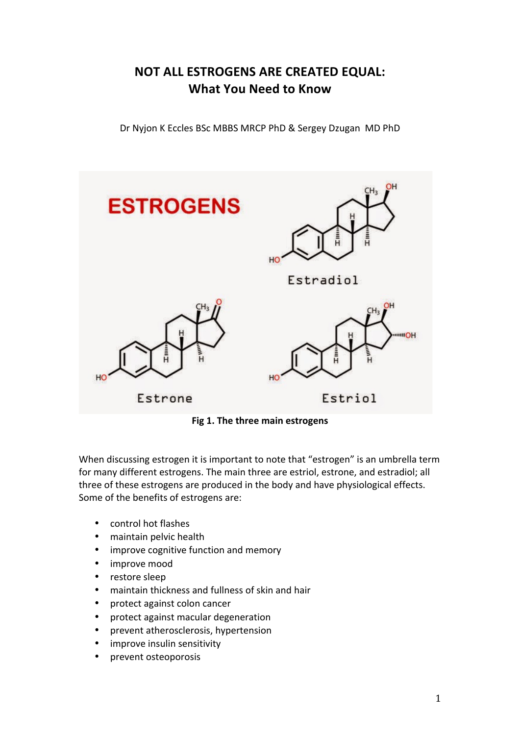## **NOT ALL ESTROGENS ARE CREATED EQUAL: What You Need to Know**

Dr Nyjon K Eccles BSc MBBS MRCP PhD & Sergey Dzugan MD PhD



**Fig 1. The three main estrogens** 

When discussing estrogen it is important to note that "estrogen" is an umbrella term for many different estrogens. The main three are estriol, estrone, and estradiol; all three of these estrogens are produced in the body and have physiological effects. Some of the benefits of estrogens are:

- control hot flashes
- maintain pelvic health
- improve cognitive function and memory
- improve mood
- restore sleep
- maintain thickness and fullness of skin and hair
- protect against colon cancer
- protect against macular degeneration
- prevent atherosclerosis, hypertension
- improve insulin sensitivity
- prevent osteoporosis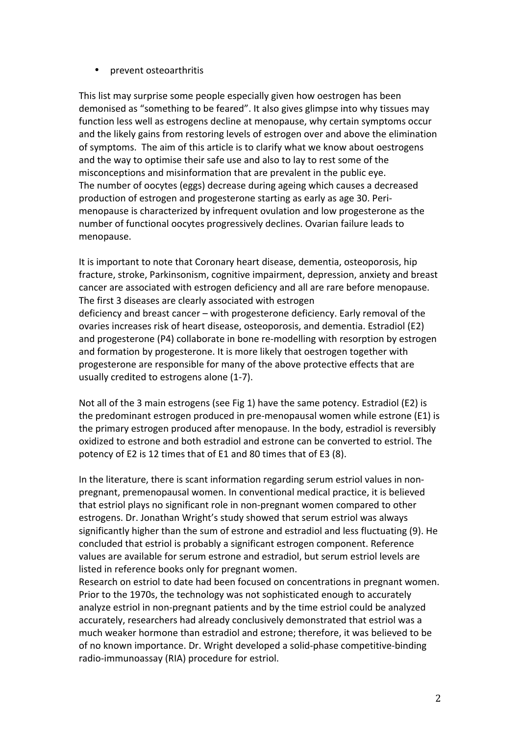## • prevent osteoarthritis

This list may surprise some people especially given how oestrogen has been demonised as "something to be feared". It also gives glimpse into why tissues may function less well as estrogens decline at menopause, why certain symptoms occur and the likely gains from restoring levels of estrogen over and above the elimination of symptoms. The aim of this article is to clarify what we know about oestrogens and the way to optimise their safe use and also to lay to rest some of the misconceptions and misinformation that are prevalent in the public eye. The number of oocytes (eggs) decrease during ageing which causes a decreased production of estrogen and progesterone starting as early as age 30. Perimenopause is characterized by infrequent ovulation and low progesterone as the number of functional oocytes progressively declines. Ovarian failure leads to menopause.

It is important to note that Coronary heart disease, dementia, osteoporosis, hip fracture, stroke, Parkinsonism, cognitive impairment, depression, anxiety and breast cancer are associated with estrogen deficiency and all are rare before menopause. The first 3 diseases are clearly associated with estrogen deficiency and breast cancer – with progesterone deficiency. Early removal of the ovaries increases risk of heart disease, osteoporosis, and dementia. Estradiol (E2) and progesterone (P4) collaborate in bone re-modelling with resorption by estrogen and formation by progesterone. It is more likely that oestrogen together with progesterone are responsible for many of the above protective effects that are usually credited to estrogens alone (1-7).

Not all of the 3 main estrogens (see Fig 1) have the same potency. Estradiol (E2) is the predominant estrogen produced in pre-menopausal women while estrone  $(E1)$  is the primary estrogen produced after menopause. In the body, estradiol is reversibly oxidized to estrone and both estradiol and estrone can be converted to estriol. The potency of E2 is 12 times that of E1 and 80 times that of E3 (8).

In the literature, there is scant information regarding serum estriol values in nonpregnant, premenopausal women. In conventional medical practice, it is believed that estriol plays no significant role in non-pregnant women compared to other estrogens. Dr. Jonathan Wright's study showed that serum estriol was always significantly higher than the sum of estrone and estradiol and less fluctuating (9). He concluded that estriol is probably a significant estrogen component. Reference values are available for serum estrone and estradiol, but serum estriol levels are listed in reference books only for pregnant women.

Research on estriol to date had been focused on concentrations in pregnant women. Prior to the 1970s, the technology was not sophisticated enough to accurately analyze estriol in non-pregnant patients and by the time estriol could be analyzed accurately, researchers had already conclusively demonstrated that estriol was a much weaker hormone than estradiol and estrone; therefore, it was believed to be of no known importance. Dr. Wright developed a solid-phase competitive-binding radio-immunoassay (RIA) procedure for estriol.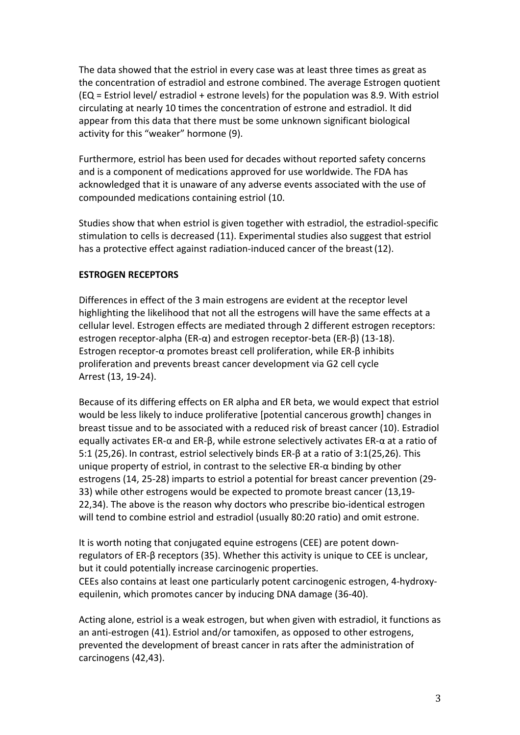The data showed that the estriol in every case was at least three times as great as the concentration of estradiol and estrone combined. The average Estrogen quotient  $(EQ = Estriol level/estraidol + estrone levels)$  for the population was 8.9. With estriol circulating at nearly 10 times the concentration of estrone and estradiol. It did appear from this data that there must be some unknown significant biological activity for this "weaker" hormone (9).

Furthermore, estriol has been used for decades without reported safety concerns and is a component of medications approved for use worldwide. The FDA has acknowledged that it is unaware of any adverse events associated with the use of compounded medications containing estriol (10.

Studies show that when estriol is given together with estradiol, the estradiol-specific stimulation to cells is decreased (11). Experimental studies also suggest that estriol has a protective effect against radiation-induced cancer of the breast (12).

## **ESTROGEN RECEPTORS**

Differences in effect of the 3 main estrogens are evident at the receptor level highlighting the likelihood that not all the estrogens will have the same effects at a cellular level. Estrogen effects are mediated through 2 different estrogen receptors: estrogen receptor-alpha (ER- $\alpha$ ) and estrogen receptor-beta (ER- $\beta$ ) (13-18). Estrogen receptor- $\alpha$  promotes breast cell proliferation, while ER- $\beta$  inhibits proliferation and prevents breast cancer development via G2 cell cycle Arrest (13, 19-24).

Because of its differing effects on ER alpha and ER beta, we would expect that estriol would be less likely to induce proliferative [potential cancerous growth] changes in breast tissue and to be associated with a reduced risk of breast cancer (10). Estradiol equally activates ER- $\alpha$  and ER- $\beta$ , while estrone selectively activates ER- $\alpha$  at a ratio of 5:1 (25,26). In contrast, estriol selectively binds  $ER-\beta$  at a ratio of 3:1(25,26). This unique property of estriol, in contrast to the selective  $ER-\alpha$  binding by other estrogens (14, 25-28) imparts to estriol a potential for breast cancer prevention (29-33) while other estrogens would be expected to promote breast cancer (13,19-22,34). The above is the reason why doctors who prescribe bio-identical estrogen will tend to combine estriol and estradiol (usually 80:20 ratio) and omit estrone.

It is worth noting that conjugated equine estrogens (CEE) are potent downregulators of ER- $\beta$  receptors (35). Whether this activity is unique to CEE is unclear, but it could potentially increase carcinogenic properties. CEEs also contains at least one particularly potent carcinogenic estrogen, 4-hydroxyequilenin, which promotes cancer by inducing DNA damage (36-40).

Acting alone, estriol is a weak estrogen, but when given with estradiol, it functions as an anti-estrogen (41). Estriol and/or tamoxifen, as opposed to other estrogens, prevented the development of breast cancer in rats after the administration of carcinogens (42,43).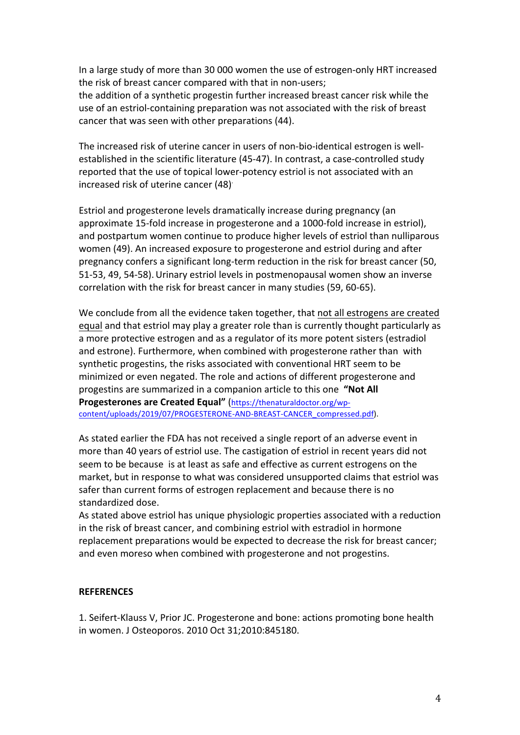In a large study of more than 30 000 women the use of estrogen-only HRT increased the risk of breast cancer compared with that in non-users; the addition of a synthetic progestin further increased breast cancer risk while the use of an estriol-containing preparation was not associated with the risk of breast cancer that was seen with other preparations (44).

The increased risk of uterine cancer in users of non-bio-identical estrogen is wellestablished in the scientific literature (45-47). In contrast, a case-controlled study reported that the use of topical lower-potency estriol is not associated with an increased risk of uterine cancer (48)<sup>.</sup>

Estriol and progesterone levels dramatically increase during pregnancy (an approximate 15-fold increase in progesterone and a 1000-fold increase in estriol), and postpartum women continue to produce higher levels of estriol than nulliparous women (49). An increased exposure to progesterone and estriol during and after pregnancy confers a significant long-term reduction in the risk for breast cancer (50, 51-53, 49, 54-58). Urinary estriol levels in postmenopausal women show an inverse correlation with the risk for breast cancer in many studies (59, 60-65).

We conclude from all the evidence taken together, that not all estrogens are created equal and that estriol may play a greater role than is currently thought particularly as a more protective estrogen and as a regulator of its more potent sisters (estradiol and estrone). Furthermore, when combined with progesterone rather than with synthetic progestins, the risks associated with conventional HRT seem to be minimized or even negated. The role and actions of different progesterone and progestins are summarized in a companion article to this one "Not All Progesterones are Created Equal" (https://thenaturaldoctor.org/wpcontent/uploads/2019/07/PROGESTERONE-AND-BREAST-CANCER\_compressed.pdf).

As stated earlier the FDA has not received a single report of an adverse event in more than 40 years of estriol use. The castigation of estriol in recent years did not seem to be because is at least as safe and effective as current estrogens on the market, but in response to what was considered unsupported claims that estriol was safer than current forms of estrogen replacement and because there is no standardized dose.

As stated above estriol has unique physiologic properties associated with a reduction in the risk of breast cancer, and combining estriol with estradiol in hormone replacement preparations would be expected to decrease the risk for breast cancer; and even moreso when combined with progesterone and not progestins.

## **REFERENCES**

1. Seifert-Klauss V, Prior JC. Progesterone and bone: actions promoting bone health in women. J Osteoporos. 2010 Oct 31;2010:845180.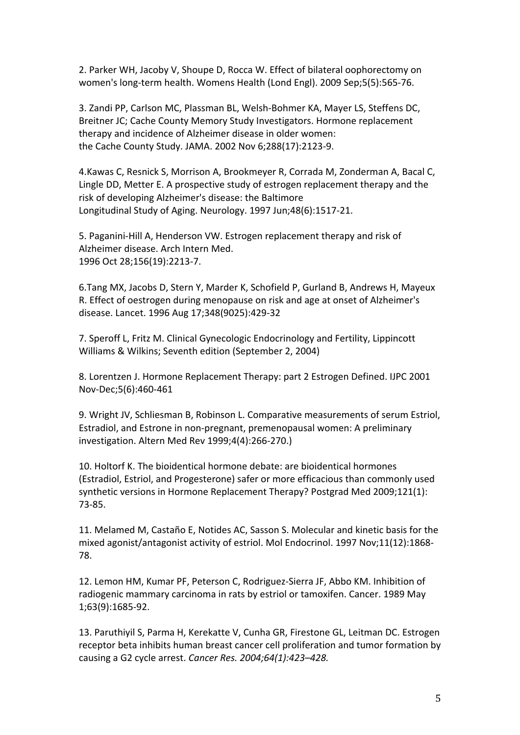2. Parker WH, Jacoby V, Shoupe D, Rocca W. Effect of bilateral oophorectomy on women's long-term health. Womens Health (Lond Engl). 2009 Sep;5(5):565-76.

3. Zandi PP, Carlson MC, Plassman BL, Welsh-Bohmer KA, Mayer LS, Steffens DC, Breitner JC; Cache County Memory Study Investigators. Hormone replacement therapy and incidence of Alzheimer disease in older women: the Cache County Study. JAMA. 2002 Nov 6;288(17):2123-9.

4.Kawas C, Resnick S, Morrison A, Brookmeyer R, Corrada M, Zonderman A, Bacal C, Lingle DD, Metter E. A prospective study of estrogen replacement therapy and the risk of developing Alzheimer's disease: the Baltimore Longitudinal Study of Aging. Neurology. 1997 Jun;48(6):1517-21.

5. Paganini-Hill A, Henderson VW. Estrogen replacement therapy and risk of Alzheimer disease. Arch Intern Med. 1996 Oct 28;156(19):2213-7.

6.Tang MX, Jacobs D, Stern Y, Marder K, Schofield P, Gurland B, Andrews H, Mayeux R. Effect of oestrogen during menopause on risk and age at onset of Alzheimer's disease. Lancet. 1996 Aug 17;348(9025):429-32

7. Speroff L, Fritz M. Clinical Gynecologic Endocrinology and Fertility, Lippincott Williams & Wilkins; Seventh edition (September 2, 2004)

8. Lorentzen J. Hormone Replacement Therapy: part 2 Estrogen Defined. IJPC 2001 Nov-Dec;5(6):460-461

9. Wright JV, Schliesman B, Robinson L. Comparative measurements of serum Estriol, Estradiol, and Estrone in non-pregnant, premenopausal women: A preliminary investigation. Altern Med Rev 1999;4(4):266-270.)

10. Holtorf K. The bioidentical hormone debate: are bioidentical hormones (Estradiol, Estriol, and Progesterone) safer or more efficacious than commonly used synthetic versions in Hormone Replacement Therapy? Postgrad Med 2009;121(1): 73-85.

11. Melamed M, Castaño E, Notides AC, Sasson S. Molecular and kinetic basis for the mixed agonist/antagonist activity of estriol. Mol Endocrinol. 1997 Nov;11(12):1868-78.

12. Lemon HM, Kumar PF, Peterson C, Rodriguez-Sierra JF, Abbo KM. Inhibition of radiogenic mammary carcinoma in rats by estriol or tamoxifen. Cancer. 1989 May 1;63(9):1685-92.

13. Paruthiyil S, Parma H, Kerekatte V, Cunha GR, Firestone GL, Leitman DC. Estrogen receptor beta inhibits human breast cancer cell proliferation and tumor formation by causing a G2 cycle arrest. *Cancer Res. 2004;64(1):423–428.*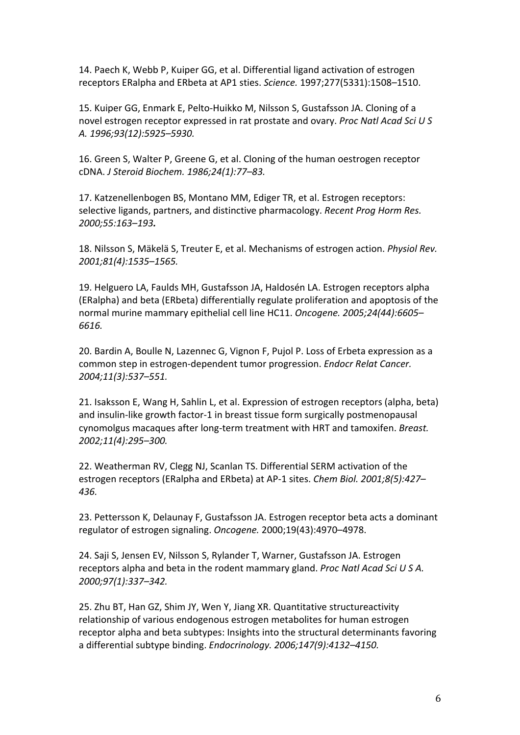14. Paech K, Webb P, Kuiper GG, et al. Differential ligand activation of estrogen receptors ERalpha and ERbeta at AP1 sties. *Science.* 1997;277(5331):1508-1510.

15. Kuiper GG, Enmark E, Pelto-Huikko M, Nilsson S, Gustafsson JA. Cloning of a novel estrogen receptor expressed in rat prostate and ovary. *Proc Natl Acad Sci U S A. 1996;93(12):5925–5930.*

16. Green S. Walter P. Greene G. et al. Cloning of the human oestrogen receptor cDNA. *J Steroid Biochem. 1986;24(1):77–83.*

17. Katzenellenbogen BS, Montano MM, Ediger TR, et al. Estrogen receptors: selective ligands, partners, and distinctive pharmacology. *Recent Prog Horm Res. 2000;55:163–193.*

18. Nilsson S, Mäkelä S, Treuter E, et al. Mechanisms of estrogen action. *Physiol Rev. 2001;81(4):1535–1565.*

19. Helguero LA, Faulds MH, Gustafsson JA, Haldosén LA. Estrogen receptors alpha (ERalpha) and beta (ERbeta) differentially regulate proliferation and apoptosis of the normal murine mammary epithelial cell line HC11. *Oncogene.* 2005;24(44):6605– *6616.*

20. Bardin A, Boulle N, Lazennec G, Vignon F, Pujol P. Loss of Erbeta expression as a common step in estrogen-dependent tumor progression. *Endocr Relat Cancer. 2004;11(3):537–551.*

21. Isaksson E, Wang H, Sahlin L, et al. Expression of estrogen receptors (alpha, beta) and insulin-like growth factor-1 in breast tissue form surgically postmenopausal cynomolgus macaques after long-term treatment with HRT and tamoxifen. *Breast. 2002;11(4):295–300.*

22. Weatherman RV, Clegg NJ, Scanlan TS. Differential SERM activation of the estrogen receptors (ERalpha and ERbeta) at AP-1 sites. *Chem Biol. 2001;8(5):427*-*436.*

23. Pettersson K, Delaunay F, Gustafsson JA. Estrogen receptor beta acts a dominant regulator of estrogen signaling. Oncogene. 2000;19(43):4970-4978.

24. Saji S, Jensen EV, Nilsson S, Rylander T, Warner, Gustafsson JA. Estrogen receptors alpha and beta in the rodent mammary gland. *Proc Natl Acad Sci U S A. 2000;97(1):337–342.*

25. Zhu BT, Han GZ, Shim JY, Wen Y, Jiang XR. Quantitative structureactivity relationship of various endogenous estrogen metabolites for human estrogen receptor alpha and beta subtypes: Insights into the structural determinants favoring a differential subtype binding. *Endocrinology.* 2006;147(9):4132-4150.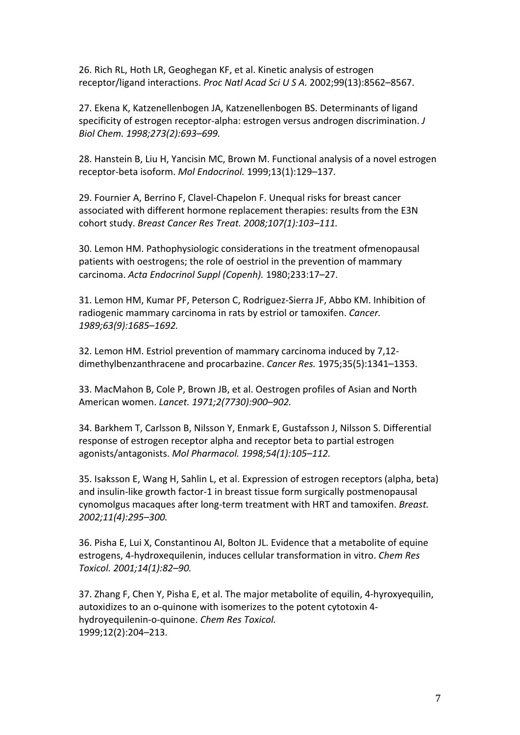26. Rich RL, Hoth LR, Geoghegan KF, et al. Kinetic analysis of estrogen receptor/ligand interactions. *Proc Natl Acad Sci U S A.* 2002;99(13):8562-8567.

27. Ekena K, Katzenellenbogen JA, Katzenellenbogen BS. Determinants of ligand specificity of estrogen receptor-alpha: estrogen versus androgen discrimination. *J Biol Chem. 1998;273(2):693–699.*

28. Hanstein B, Liu H, Yancisin MC, Brown M, Functional analysis of a novel estrogen receptor-beta isoform. Mol Endocrinol. 1999;13(1):129-137.

29. Fournier A, Berrino F, Clavel-Chapelon F. Unequal risks for breast cancer associated with different hormone replacement therapies: results from the E3N cohort study. *Breast Cancer Res Treat.* 2008;107(1):103-111.

30. Lemon HM. Pathophysiologic considerations in the treatment ofmenopausal patients with oestrogens; the role of oestriol in the prevention of mammary carcinoma. *Acta Endocrinol Suppl (Copenh).* 1980;233:17–27.

31. Lemon HM, Kumar PF, Peterson C, Rodriguez-Sierra JF, Abbo KM. Inhibition of radiogenic mammary carcinoma in rats by estriol or tamoxifen. *Cancer. 1989;63(9):1685–1692.*

32. Lemon HM. Estriol prevention of mammary carcinoma induced by 7,12dimethylbenzanthracene and procarbazine. *Cancer Res.* 1975;35(5):1341–1353.

33. MacMahon B, Cole P, Brown JB, et al. Oestrogen profiles of Asian and North American women. *Lancet. 1971;2(7730):900–902.*

34. Barkhem T, Carlsson B, Nilsson Y, Enmark E, Gustafsson J, Nilsson S. Differential response of estrogen receptor alpha and receptor beta to partial estrogen agonists/antagonists. *Mol Pharmacol. 1998;54(1):105–112.*

35. Isaksson E, Wang H, Sahlin L, et al. Expression of estrogen receptors (alpha, beta) and insulin-like growth factor-1 in breast tissue form surgically postmenopausal cynomolgus macaques after long-term treatment with HRT and tamoxifen. *Breast. 2002;11(4):295–300.*

36. Pisha E, Lui X, Constantinou AI, Bolton JL. Evidence that a metabolite of equine estrogens, 4-hydroxequilenin, induces cellular transformation in vitro. *Chem Res Toxicol. 2001;14(1):82–90.*

37. Zhang F, Chen Y, Pisha E, et al. The major metabolite of equilin, 4-hyroxyequilin, autoxidizes to an o-quinone with isomerizes to the potent cytotoxin 4hydroyequilenin-o-quinone. *Chem Res Toxicol.* 1999;12(2):204–213.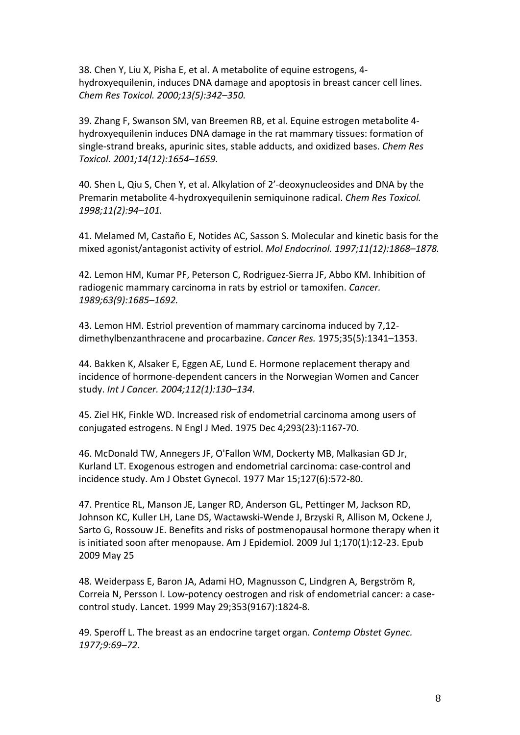38. Chen Y, Liu X, Pisha E, et al. A metabolite of equine estrogens, 4hydroxyequilenin, induces DNA damage and apoptosis in breast cancer cell lines. *Chem Res Toxicol. 2000;13(5):342–350.*

39. Zhang F, Swanson SM, van Breemen RB, et al. Equine estrogen metabolite 4hydroxyequilenin induces DNA damage in the rat mammary tissues: formation of single-strand breaks, apurinic sites, stable adducts, and oxidized bases. *Chem Res Toxicol. 2001;14(12):1654–1659.*

40. Shen L, Qiu S, Chen Y, et al. Alkylation of 2'-deoxynucleosides and DNA by the Premarin metabolite 4-hydroxyequilenin semiquinone radical. *Chem Res Toxicol. 1998;11(2):94–101.*

41. Melamed M, Castaño E, Notides AC, Sasson S. Molecular and kinetic basis for the mixed agonist/antagonist activity of estriol. Mol Endocrinol. 1997;11(12):1868-1878.

42. Lemon HM, Kumar PF, Peterson C, Rodriguez-Sierra JF, Abbo KM. Inhibition of radiogenic mammary carcinoma in rats by estriol or tamoxifen. *Cancer*. *1989;63(9):1685–1692.*

43. Lemon HM. Estriol prevention of mammary carcinoma induced by 7,12dimethylbenzanthracene and procarbazine. *Cancer Res.* 1975;35(5):1341-1353.

44. Bakken K, Alsaker E, Eggen AE, Lund E. Hormone replacement therapy and incidence of hormone-dependent cancers in the Norwegian Women and Cancer study. *Int J Cancer. 2004;112(1):130–134.*

45. Ziel HK, Finkle WD. Increased risk of endometrial carcinoma among users of conjugated estrogens. N Engl J Med. 1975 Dec 4;293(23):1167-70.

46. McDonald TW, Annegers JF, O'Fallon WM, Dockerty MB, Malkasian GD Jr, Kurland LT. Exogenous estrogen and endometrial carcinoma: case-control and incidence study. Am J Obstet Gynecol. 1977 Mar 15;127(6):572-80.

47. Prentice RL, Manson JE, Langer RD, Anderson GL, Pettinger M, Jackson RD, Johnson KC, Kuller LH, Lane DS, Wactawski-Wende J, Brzyski R, Allison M, Ockene J, Sarto G, Rossouw JE. Benefits and risks of postmenopausal hormone therapy when it is initiated soon after menopause. Am J Epidemiol. 2009 Jul 1;170(1):12-23. Epub 2009 May 25

48. Weiderpass E, Baron JA, Adami HO, Magnusson C, Lindgren A, Bergström R, Correia N, Persson I. Low-potency oestrogen and risk of endometrial cancer: a casecontrol study. Lancet. 1999 May 29;353(9167):1824-8. 

49. Speroff L. The breast as an endocrine target organ. *Contemp Obstet Gynec. 1977;9:69–72.*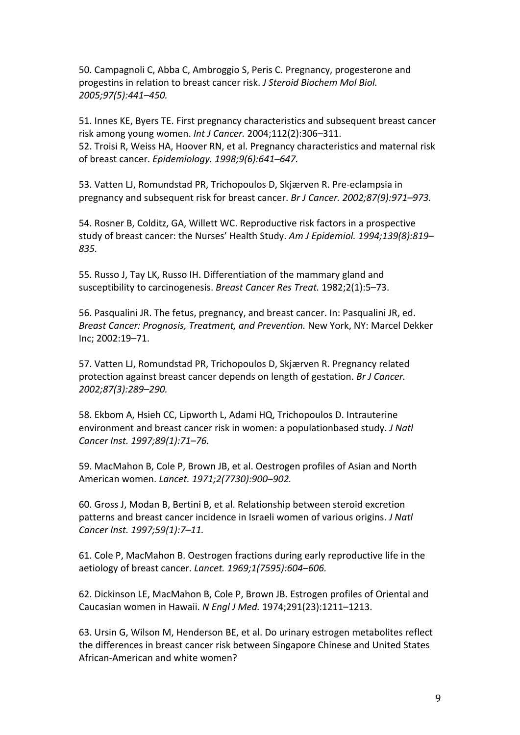50. Campagnoli C, Abba C, Ambroggio S, Peris C. Pregnancy, progesterone and progestins in relation to breast cancer risk. *J Steroid Biochem Mol Biol. 2005;97(5):441–450.*

51. Innes KE, Byers TE. First pregnancy characteristics and subsequent breast cancer risk among young women. *Int J Cancer.* 2004;112(2):306-311. 52. Troisi R, Weiss HA, Hoover RN, et al. Pregnancy characteristics and maternal risk of breast cancer. *Epidemiology. 1998;9(6):641–647.*

53. Vatten LJ, Romundstad PR, Trichopoulos D, Skjærven R. Pre-eclampsia in pregnancy and subsequent risk for breast cancer. *Br J Cancer. 2002;87(9):971–973.* 

54. Rosner B, Colditz, GA, Willett WC. Reproductive risk factors in a prospective study of breast cancer: the Nurses' Health Study. Am J Epidemiol. 1994;139(8):819– *835.*

55. Russo J, Tay LK, Russo IH. Differentiation of the mammary gland and susceptibility to carcinogenesis. *Breast Cancer Res Treat.* 1982;2(1):5–73.

56. Pasqualini JR. The fetus, pregnancy, and breast cancer. In: Pasqualini JR, ed. *Breast Cancer: Prognosis, Treatment, and Prevention.* New York, NY: Marcel Dekker Inc; 2002:19–71.

57. Vatten LJ, Romundstad PR, Trichopoulos D, Skjærven R. Pregnancy related protection against breast cancer depends on length of gestation. *Br J Cancer. 2002;87(3):289–290.*

58. Ekbom A, Hsieh CC, Lipworth L, Adami HQ, Trichopoulos D. Intrauterine environment and breast cancer risk in women: a populationbased study. *J Natl Cancer Inst. 1997;89(1):71–76.*

59. MacMahon B, Cole P, Brown JB, et al. Oestrogen profiles of Asian and North American women. *Lancet. 1971;2(7730):900–902.*

60. Gross J, Modan B, Bertini B, et al. Relationship between steroid excretion patterns and breast cancer incidence in Israeli women of various origins. *J Natl Cancer Inst. 1997;59(1):7–11.*

61. Cole P, MacMahon B. Oestrogen fractions during early reproductive life in the aetiology of breast cancer. *Lancet. 1969;1(7595):604–606.*

62. Dickinson LE, MacMahon B, Cole P, Brown JB. Estrogen profiles of Oriental and Caucasian women in Hawaii. *N Engl J Med.* 1974;291(23):1211–1213.

63. Ursin G, Wilson M, Henderson BE, et al. Do urinary estrogen metabolites reflect the differences in breast cancer risk between Singapore Chinese and United States African-American and white women?